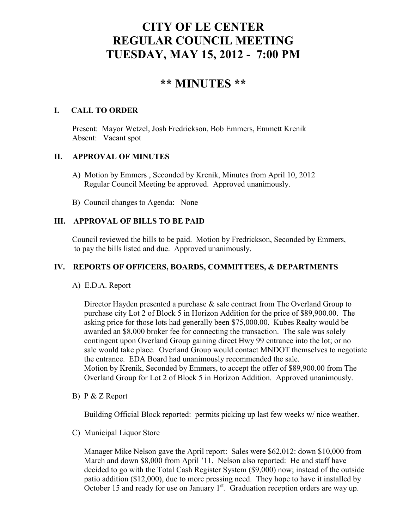# **CITY OF LE CENTER REGULAR COUNCIL MEETING TUESDAY, MAY 15, 2012 - 7:00 PM**

## **\*\* MINUTES \*\***

### **I. CALL TO ORDER**

Present: Mayor Wetzel, Josh Fredrickson, Bob Emmers, Emmett Krenik Absent: Vacant spot

#### **II. APPROVAL OF MINUTES**

- A) Motion by Emmers , Seconded by Krenik, Minutes from April 10, 2012 Regular Council Meeting be approved. Approved unanimously.
- B) Council changes to Agenda: None

#### **III. APPROVAL OF BILLS TO BE PAID**

Council reviewed the bills to be paid. Motion by Fredrickson, Seconded by Emmers, to pay the bills listed and due. Approved unanimously.

#### **IV. REPORTS OF OFFICERS, BOARDS, COMMITTEES, & DEPARTMENTS**

#### A) E.D.A. Report

 Director Hayden presented a purchase & sale contract from The Overland Group to purchase city Lot 2 of Block 5 in Horizon Addition for the price of \$89,900.00. The asking price for those lots had generally been \$75,000.00. Kubes Realty would be awarded an \$8,000 broker fee for connecting the transaction. The sale was solely contingent upon Overland Group gaining direct Hwy 99 entrance into the lot; or no sale would take place. Overland Group would contact MNDOT themselves to negotiate the entrance. EDA Board had unanimously recommended the sale. Motion by Krenik, Seconded by Emmers, to accept the offer of \$89,900.00 from The Overland Group for Lot 2 of Block 5 in Horizon Addition. Approved unanimously.

B) P & Z Report

Building Official Block reported: permits picking up last few weeks w/ nice weather.

C) Municipal Liquor Store

Manager Mike Nelson gave the April report: Sales were \$62,012: down \$10,000 from March and down \$8,000 from April '11. Nelson also reported: He and staff have decided to go with the Total Cash Register System (\$9,000) now; instead of the outside patio addition (\$12,000), due to more pressing need. They hope to have it installed by October 15 and ready for use on January  $1<sup>st</sup>$ . Graduation reception orders are way up.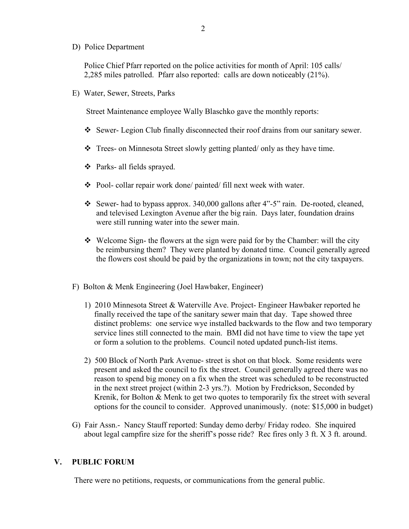D) Police Department

Police Chief Pfarr reported on the police activities for month of April: 105 calls/ 2,285 miles patrolled. Pfarr also reported: calls are down noticeably (21%).

E) Water, Sewer, Streets, Parks

Street Maintenance employee Wally Blaschko gave the monthly reports:

- $\div$  Sewer- Legion Club finally disconnected their roof drains from our sanitary sewer.
- Trees- on Minnesota Street slowly getting planted/ only as they have time.
- Parks- all fields sprayed.
- Pool- collar repair work done/ painted/ fill next week with water.
- Sewer- had to bypass approx. 340,000 gallons after 4"-5" rain. De-rooted, cleaned, and televised Lexington Avenue after the big rain. Days later, foundation drains were still running water into the sewer main.
- $\div$  Welcome Sign- the flowers at the sign were paid for by the Chamber: will the city be reimbursing them? They were planted by donated time. Council generally agreed the flowers cost should be paid by the organizations in town; not the city taxpayers.
- F) Bolton & Menk Engineering (Joel Hawbaker, Engineer)
	- 1) 2010 Minnesota Street & Waterville Ave. Project- Engineer Hawbaker reported he finally received the tape of the sanitary sewer main that day. Tape showed three distinct problems: one service wye installed backwards to the flow and two temporary service lines still connected to the main. BMI did not have time to view the tape yet or form a solution to the problems. Council noted updated punch-list items.
	- 2) 500 Block of North Park Avenue- street is shot on that block. Some residents were present and asked the council to fix the street. Council generally agreed there was no reason to spend big money on a fix when the street was scheduled to be reconstructed in the next street project (within 2-3 yrs.?). Motion by Fredrickson, Seconded by Krenik, for Bolton & Menk to get two quotes to temporarily fix the street with several options for the council to consider. Approved unanimously. (note: \$15,000 in budget)
- G) Fair Assn.- Nancy Stauff reported: Sunday demo derby/ Friday rodeo. She inquired about legal campfire size for the sheriff's posse ride? Rec fires only 3 ft. X 3 ft. around.

#### **V. PUBLIC FORUM**

There were no petitions, requests, or communications from the general public.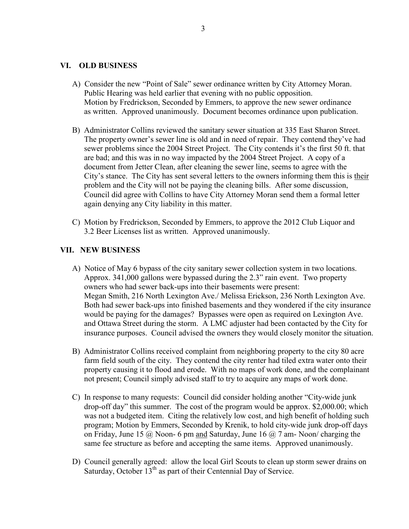#### **VI. OLD BUSINESS**

- A) Consider the new "Point of Sale" sewer ordinance written by City Attorney Moran. Public Hearing was held earlier that evening with no public opposition. Motion by Fredrickson, Seconded by Emmers, to approve the new sewer ordinance as written. Approved unanimously. Document becomes ordinance upon publication.
- B) Administrator Collins reviewed the sanitary sewer situation at 335 East Sharon Street. The property owner's sewer line is old and in need of repair. They contend they've had sewer problems since the 2004 Street Project. The City contends it's the first 50 ft. that are bad; and this was in no way impacted by the 2004 Street Project. A copy of a document from Jetter Clean, after cleaning the sewer line, seems to agree with the City's stance. The City has sent several letters to the owners informing them this is their problem and the City will not be paying the cleaning bills. After some discussion, Council did agree with Collins to have City Attorney Moran send them a formal letter again denying any City liability in this matter.
- C) Motion by Fredrickson, Seconded by Emmers, to approve the 2012 Club Liquor and 3.2 Beer Licenses list as written. Approved unanimously.

#### **VII. NEW BUSINESS**

- A) Notice of May 6 bypass of the city sanitary sewer collection system in two locations. Approx. 341,000 gallons were bypassed during the 2.3" rain event. Two property owners who had sewer back-ups into their basements were present: Megan Smith, 216 North Lexington Ave./ Melissa Erickson, 236 North Lexington Ave. Both had sewer back-ups into finished basements and they wondered if the city insurance would be paying for the damages? Bypasses were open as required on Lexington Ave. and Ottawa Street during the storm. A LMC adjuster had been contacted by the City for insurance purposes. Council advised the owners they would closely monitor the situation.
- B) Administrator Collins received complaint from neighboring property to the city 80 acre farm field south of the city. They contend the city renter had tiled extra water onto their property causing it to flood and erode. With no maps of work done, and the complainant not present; Council simply advised staff to try to acquire any maps of work done.
- C) In response to many requests: Council did consider holding another "City-wide junk drop-off day" this summer. The cost of the program would be approx. \$2,000.00; which was not a budgeted item. Citing the relatively low cost, and high benefit of holding such program; Motion by Emmers, Seconded by Krenik, to hold city-wide junk drop-off days on Friday, June 15  $\omega$  Noon-6 pm and Saturday, June 16  $\omega$  7 am-Noon/ charging the same fee structure as before and accepting the same items. Approved unanimously.
- D) Council generally agreed: allow the local Girl Scouts to clean up storm sewer drains on Saturday, October  $13<sup>th</sup>$  as part of their Centennial Day of Service.